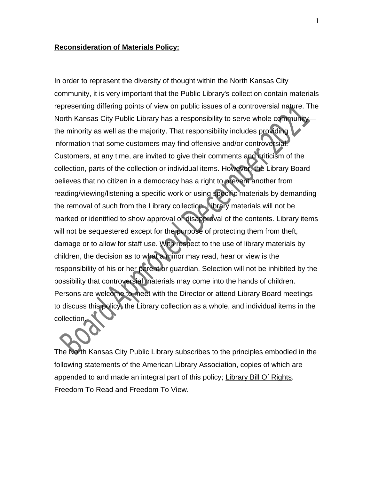## **Reconsideration of Materials Policy:**

In order to represent the diversity of thought within the North Kansas City community, it is very important that the Public Library's collection contain materials representing differing points of view on public issues of a controversial nature. The North Kansas City Public Library has a responsibility to serve whole community the minority as well as the majority. That responsibility includes providing information that some customers may find offensive and/or controversial. Customers, at any time, are invited to give their comments and criticism of the collection, parts of the collection or individual items. However, the Library Board believes that no citizen in a democracy has a right to prevent another from reading/viewing/listening a specific work or using specific materials by demanding the removal of such from the Library collection. Library materials will not be marked or identified to show approval or disapproval of the contents. Library items will not be sequestered except for the purpose of protecting them from theft, damage or to allow for staff use. With respect to the use of library materials by children, the decision as to what a minor may read, hear or view is the responsibility of his or her parent or guardian. Selection will not be inhibited by the possibility that controversial materials may come into the hands of children. Persons are welcome to meet with the Director or attend Library Board meetings to discuss this policy, the Library collection as a whole, and individual items in the collection.

The North Kansas City Public Library subscribes to the principles embodied in the following statements of the American Library Association, copies of which are appended to and made an integral part of this policy; Library Bill Of Rights. Freedom To Read and Freedom To View.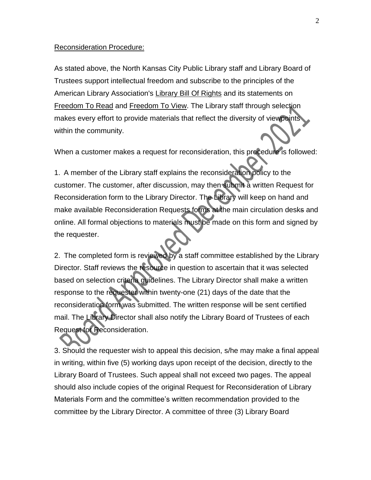## Reconsideration Procedure:

As stated above, the North Kansas City Public Library staff and Library Board of Trustees support intellectual freedom and subscribe to the principles of the American Library Association's Library Bill Of Rights and its statements on Freedom To Read and Freedom To View. The Library staff through selection makes every effort to provide materials that reflect the diversity of viewpoints within the community.

When a customer makes a request for reconsideration, this procedure is followed:

1. A member of the Library staff explains the reconsideration policy to the customer. The customer, after discussion, may then submit a written Request for Reconsideration form to the Library Director. The Library will keep on hand and make available Reconsideration Requests forms at the main circulation desks and online. All formal objections to materials must be made on this form and signed by the requester.

2. The completed form is reviewed by a staff committee established by the Library Director. Staff reviews the resource in question to ascertain that it was selected based on selection criteria guidelines. The Library Director shall make a written response to the requester within twenty-one (21) days of the date that the reconsideration form was submitted. The written response will be sent certified mail. The Library Director shall also notify the Library Board of Trustees of each Request for Reconsideration.

3. Should the requester wish to appeal this decision, s/he may make a final appeal in writing, within five (5) working days upon receipt of the decision, directly to the Library Board of Trustees. Such appeal shall not exceed two pages. The appeal should also include copies of the original Request for Reconsideration of Library Materials Form and the committee's written recommendation provided to the committee by the Library Director. A committee of three (3) Library Board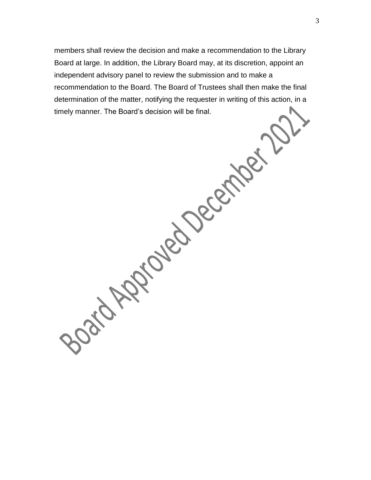members shall review the decision and make a recommendation to the Library Board at large. In addition, the Library Board may, at its discretion, appoint an independent advisory panel to review the submission and to make a recommendation to the Board. The Board of Trustees shall then make the final determination of the matter, notifying the requester in writing of this action, in a

timely manner. The Board's decision will be final.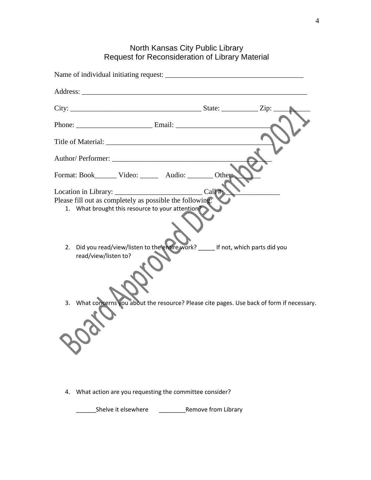## North Kansas City Public Library Request for Reconsideration of Library Material

|          | Format: Book________ Video: ________ Audio: ________ Other                                                                                                                                                                                                                                                        |       |  |
|----------|-------------------------------------------------------------------------------------------------------------------------------------------------------------------------------------------------------------------------------------------------------------------------------------------------------------------|-------|--|
| 2.<br>3. | Please fill out as completely as possible the following:<br>1. What brought this resource to your attention?<br>Did you read/view/listen to the entire work? _____ If not, which parts did you<br>read/view/listen to?<br>What concerns you about the resource? Please cite pages. Use back of form if necessary. | Call# |  |
|          |                                                                                                                                                                                                                                                                                                                   |       |  |

4. What action are you requesting the committee consider?

\_\_\_\_\_\_Shelve it elsewhere \_\_\_\_\_\_\_\_Remove from Library